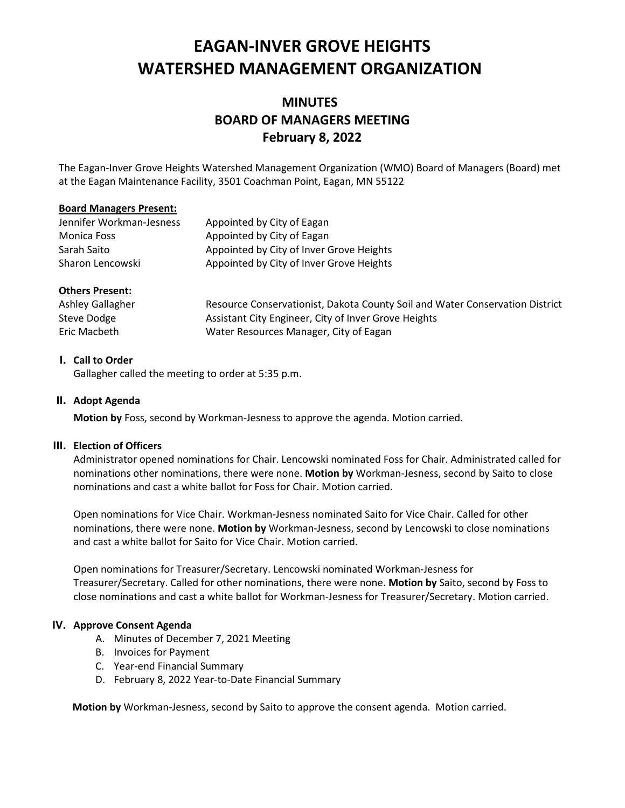# **EAGAN-INVER GROVE HEIGHTS WATERSHED MANAGEMENT ORGANIZATION**

# **MINUTES BOARD OF MANAGERS MEETING February 8, 2022**

The Eagan-Inver Grove Heights Watershed Management Organization (WMO) Board of Managers (Board) met at the Eagan Maintenance Facility, 3501 Coachman Point, Eagan, MN 55122

#### **Board Managers Present:**

| Jennifer Workman-Jesness | Appointed by City of Eagan               |
|--------------------------|------------------------------------------|
| Monica Foss              | Appointed by City of Eagan               |
| Sarah Saito              | Appointed by City of Inver Grove Heights |
| Sharon Lencowski         | Appointed by City of Inver Grove Heights |

#### **Others Present:**

| Ashley Gallagher | Resource Conservationist, Dakota County Soil and Water Conservation District |
|------------------|------------------------------------------------------------------------------|
| Steve Dodge      | Assistant City Engineer, City of Inver Grove Heights                         |
| Eric Macbeth     | Water Resources Manager, City of Eagan                                       |

#### **I. Call to Order**

Gallagher called the meeting to order at 5:35 p.m.

#### **II. Adopt Agenda**

**Motion by** Foss, second by Workman-Jesness to approve the agenda. Motion carried.

#### **III. Election of Officers**

Administrator opened nominations for Chair. Lencowski nominated Foss for Chair. Administrated called for nominations other nominations, there were none. **Motion by** Workman-Jesness, second by Saito to close nominations and cast a white ballot for Foss for Chair. Motion carried.

Open nominations for Vice Chair. Workman-Jesness nominated Saito for Vice Chair. Called for other nominations, there were none. **Motion by** Workman-Jesness, second by Lencowski to close nominations and cast a white ballot for Saito for Vice Chair. Motion carried.

Open nominations for Treasurer/Secretary. Lencowski nominated Workman-Jesness for Treasurer/Secretary. Called for other nominations, there were none. **Motion by** Saito, second by Foss to close nominations and cast a white ballot for Workman-Jesness for Treasurer/Secretary. Motion carried.

#### **IV. Approve Consent Agenda**

- A. Minutes of December 7, 2021 Meeting
- B. Invoices for Payment
- C. Year-end Financial Summary
- D. February 8, 2022 Year-to-Date Financial Summary

**Motion by** Workman-Jesness, second by Saito to approve the consent agenda. Motion carried.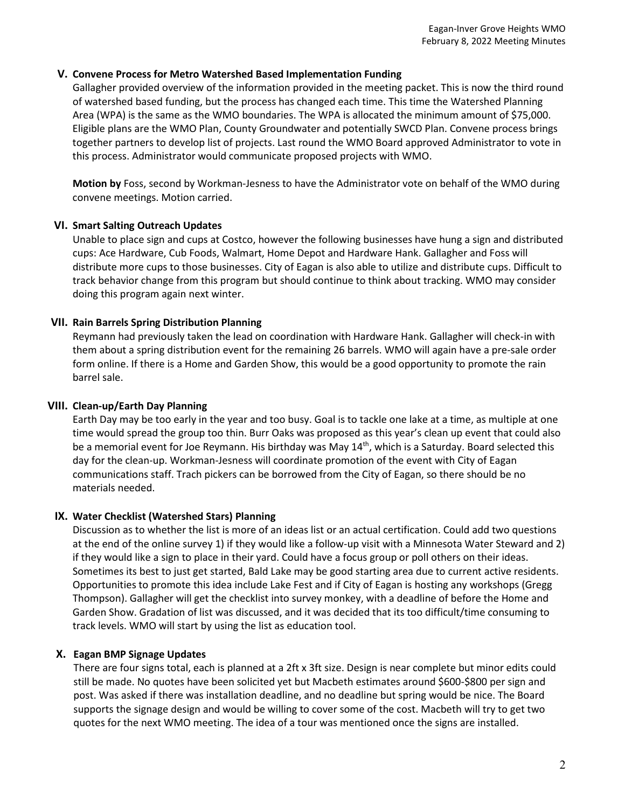#### **V. Convene Process for Metro Watershed Based Implementation Funding**

Gallagher provided overview of the information provided in the meeting packet. This is now the third round of watershed based funding, but the process has changed each time. This time the Watershed Planning Area (WPA) is the same as the WMO boundaries. The WPA is allocated the minimum amount of \$75,000. Eligible plans are the WMO Plan, County Groundwater and potentially SWCD Plan. Convene process brings together partners to develop list of projects. Last round the WMO Board approved Administrator to vote in this process. Administrator would communicate proposed projects with WMO.

**Motion by** Foss, second by Workman-Jesness to have the Administrator vote on behalf of the WMO during convene meetings. Motion carried.

#### **VI. Smart Salting Outreach Updates**

Unable to place sign and cups at Costco, however the following businesses have hung a sign and distributed cups: Ace Hardware, Cub Foods, Walmart, Home Depot and Hardware Hank. Gallagher and Foss will distribute more cups to those businesses. City of Eagan is also able to utilize and distribute cups. Difficult to track behavior change from this program but should continue to think about tracking. WMO may consider doing this program again next winter.

#### **VII. Rain Barrels Spring Distribution Planning**

Reymann had previously taken the lead on coordination with Hardware Hank. Gallagher will check-in with them about a spring distribution event for the remaining 26 barrels. WMO will again have a pre-sale order form online. If there is a Home and Garden Show, this would be a good opportunity to promote the rain barrel sale.

#### **VIII. Clean-up/Earth Day Planning**

Earth Day may be too early in the year and too busy. Goal is to tackle one lake at a time, as multiple at one time would spread the group too thin. Burr Oaks was proposed as this year's clean up event that could also be a memorial event for Joe Reymann. His birthday was May 14<sup>th</sup>, which is a Saturday. Board selected this day for the clean-up. Workman-Jesness will coordinate promotion of the event with City of Eagan communications staff. Trach pickers can be borrowed from the City of Eagan, so there should be no materials needed.

#### **IX. Water Checklist (Watershed Stars) Planning**

Discussion as to whether the list is more of an ideas list or an actual certification. Could add two questions at the end of the online survey 1) if they would like a follow-up visit with a Minnesota Water Steward and 2) if they would like a sign to place in their yard. Could have a focus group or poll others on their ideas. Sometimes its best to just get started, Bald Lake may be good starting area due to current active residents. Opportunities to promote this idea include Lake Fest and if City of Eagan is hosting any workshops (Gregg Thompson). Gallagher will get the checklist into survey monkey, with a deadline of before the Home and Garden Show. Gradation of list was discussed, and it was decided that its too difficult/time consuming to track levels. WMO will start by using the list as education tool.

#### **X. Eagan BMP Signage Updates**

There are four signs total, each is planned at a 2ft x 3ft size. Design is near complete but minor edits could still be made. No quotes have been solicited yet but Macbeth estimates around \$600-\$800 per sign and post. Was asked if there was installation deadline, and no deadline but spring would be nice. The Board supports the signage design and would be willing to cover some of the cost. Macbeth will try to get two quotes for the next WMO meeting. The idea of a tour was mentioned once the signs are installed.